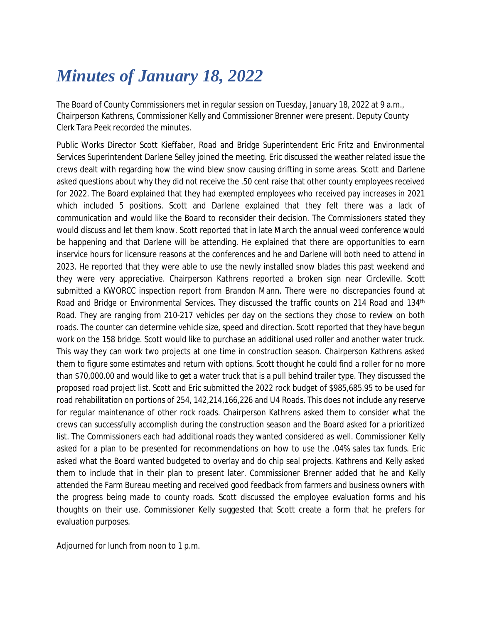## *Minutes of January 18, 2022*

The Board of County Commissioners met in regular session on Tuesday, January 18, 2022 at 9 a.m., Chairperson Kathrens, Commissioner Kelly and Commissioner Brenner were present. Deputy County Clerk Tara Peek recorded the minutes.

Public Works Director Scott Kieffaber, Road and Bridge Superintendent Eric Fritz and Environmental Services Superintendent Darlene Selley joined the meeting. Eric discussed the weather related issue the crews dealt with regarding how the wind blew snow causing drifting in some areas. Scott and Darlene asked questions about why they did not receive the .50 cent raise that other county employees received for 2022. The Board explained that they had exempted employees who received pay increases in 2021 which included 5 positions. Scott and Darlene explained that they felt there was a lack of communication and would like the Board to reconsider their decision. The Commissioners stated they would discuss and let them know. Scott reported that in late March the annual weed conference would be happening and that Darlene will be attending. He explained that there are opportunities to earn inservice hours for licensure reasons at the conferences and he and Darlene will both need to attend in 2023. He reported that they were able to use the newly installed snow blades this past weekend and they were very appreciative. Chairperson Kathrens reported a broken sign near Circleville. Scott submitted a KWORCC inspection report from Brandon Mann. There were no discrepancies found at Road and Bridge or Environmental Services. They discussed the traffic counts on 214 Road and 134<sup>th</sup> Road. They are ranging from 210-217 vehicles per day on the sections they chose to review on both roads. The counter can determine vehicle size, speed and direction. Scott reported that they have begun work on the 158 bridge. Scott would like to purchase an additional used roller and another water truck. This way they can work two projects at one time in construction season. Chairperson Kathrens asked them to figure some estimates and return with options. Scott thought he could find a roller for no more than \$70,000.00 and would like to get a water truck that is a pull behind trailer type. They discussed the proposed road project list. Scott and Eric submitted the 2022 rock budget of \$985,685.95 to be used for road rehabilitation on portions of 254, 142,214,166,226 and U4 Roads. This does not include any reserve for regular maintenance of other rock roads. Chairperson Kathrens asked them to consider what the crews can successfully accomplish during the construction season and the Board asked for a prioritized list. The Commissioners each had additional roads they wanted considered as well. Commissioner Kelly asked for a plan to be presented for recommendations on how to use the .04% sales tax funds. Eric asked what the Board wanted budgeted to overlay and do chip seal projects. Kathrens and Kelly asked them to include that in their plan to present later. Commissioner Brenner added that he and Kelly attended the Farm Bureau meeting and received good feedback from farmers and business owners with the progress being made to county roads. Scott discussed the employee evaluation forms and his thoughts on their use. Commissioner Kelly suggested that Scott create a form that he prefers for evaluation purposes.

Adjourned for lunch from noon to 1 p.m.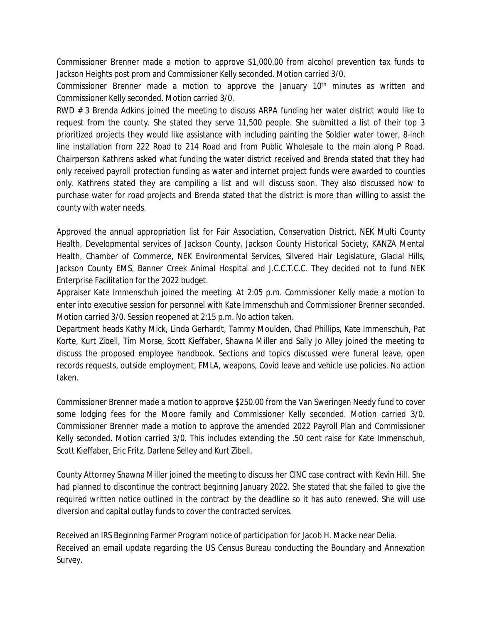Commissioner Brenner made a motion to approve \$1,000.00 from alcohol prevention tax funds to Jackson Heights post prom and Commissioner Kelly seconded. Motion carried 3/0.

Commissioner Brenner made a motion to approve the January 10<sup>th</sup> minutes as written and Commissioner Kelly seconded. Motion carried 3/0.

RWD # 3 Brenda Adkins joined the meeting to discuss ARPA funding her water district would like to request from the county. She stated they serve 11,500 people. She submitted a list of their top 3 prioritized projects they would like assistance with including painting the Soldier water tower, 8-inch line installation from 222 Road to 214 Road and from Public Wholesale to the main along P Road. Chairperson Kathrens asked what funding the water district received and Brenda stated that they had only received payroll protection funding as water and internet project funds were awarded to counties only. Kathrens stated they are compiling a list and will discuss soon. They also discussed how to purchase water for road projects and Brenda stated that the district is more than willing to assist the county with water needs.

Approved the annual appropriation list for Fair Association, Conservation District, NEK Multi County Health, Developmental services of Jackson County, Jackson County Historical Society, KANZA Mental Health, Chamber of Commerce, NEK Environmental Services, Silvered Hair Legislature, Glacial Hills, Jackson County EMS, Banner Creek Animal Hospital and J.C.C.T.C.C. They decided not to fund NEK Enterprise Facilitation for the 2022 budget.

Appraiser Kate Immenschuh joined the meeting. At 2:05 p.m. Commissioner Kelly made a motion to enter into executive session for personnel with Kate Immenschuh and Commissioner Brenner seconded. Motion carried 3/0. Session reopened at 2:15 p.m. No action taken.

Department heads Kathy Mick, Linda Gerhardt, Tammy Moulden, Chad Phillips, Kate Immenschuh, Pat Korte, Kurt Zibell, Tim Morse, Scott Kieffaber, Shawna Miller and Sally Jo Alley joined the meeting to discuss the proposed employee handbook. Sections and topics discussed were funeral leave, open records requests, outside employment, FMLA, weapons, Covid leave and vehicle use policies. No action taken.

Commissioner Brenner made a motion to approve \$250.00 from the Van Sweringen Needy fund to cover some lodging fees for the Moore family and Commissioner Kelly seconded. Motion carried 3/0. Commissioner Brenner made a motion to approve the amended 2022 Payroll Plan and Commissioner Kelly seconded. Motion carried 3/0. This includes extending the .50 cent raise for Kate Immenschuh, Scott Kieffaber, Eric Fritz, Darlene Selley and Kurt Zibell.

County Attorney Shawna Miller joined the meeting to discuss her CINC case contract with Kevin Hill. She had planned to discontinue the contract beginning January 2022. She stated that she failed to give the required written notice outlined in the contract by the deadline so it has auto renewed. She will use diversion and capital outlay funds to cover the contracted services.

Received an IRS Beginning Farmer Program notice of participation for Jacob H. Macke near Delia. Received an email update regarding the US Census Bureau conducting the Boundary and Annexation Survey.